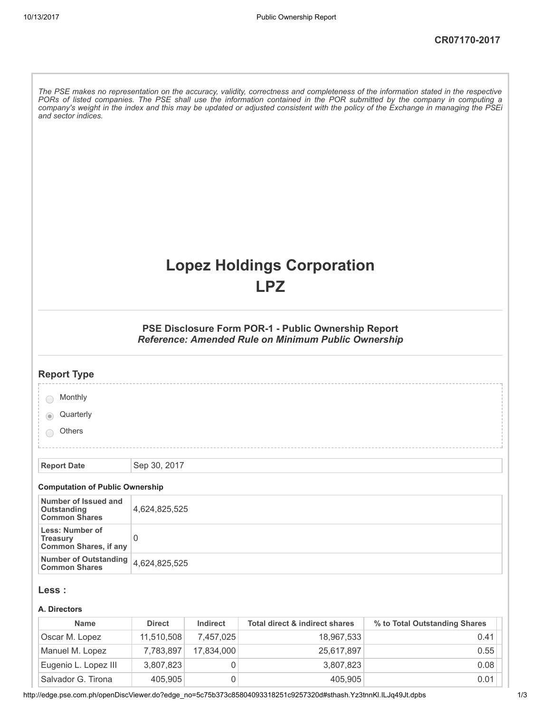| and sector indices.                                                       |               |           |                                                                                                            | The PSE makes no representation on the accuracy, validity, correctness and completeness of the information stated in the respective<br>PORs of listed companies. The PSE shall use the information contained in the POR submitted by the company in computing a<br>company's weight in the index and this may be updated or adjusted consistent with the policy of the Exchange in managing the PSEi |
|---------------------------------------------------------------------------|---------------|-----------|------------------------------------------------------------------------------------------------------------|------------------------------------------------------------------------------------------------------------------------------------------------------------------------------------------------------------------------------------------------------------------------------------------------------------------------------------------------------------------------------------------------------|
|                                                                           |               |           | <b>Lopez Holdings Corporation</b><br><b>LPZ</b>                                                            |                                                                                                                                                                                                                                                                                                                                                                                                      |
|                                                                           |               |           | PSE Disclosure Form POR-1 - Public Ownership Report<br>Reference: Amended Rule on Minimum Public Ownership |                                                                                                                                                                                                                                                                                                                                                                                                      |
| <b>Report Type</b>                                                        |               |           |                                                                                                            |                                                                                                                                                                                                                                                                                                                                                                                                      |
| Monthly<br>Quarterly<br><b>Others</b>                                     |               |           |                                                                                                            |                                                                                                                                                                                                                                                                                                                                                                                                      |
| <b>Report Date</b>                                                        | Sep 30, 2017  |           |                                                                                                            |                                                                                                                                                                                                                                                                                                                                                                                                      |
| <b>Computation of Public Ownership</b>                                    |               |           |                                                                                                            |                                                                                                                                                                                                                                                                                                                                                                                                      |
| Number of Issued and<br><b>Outstanding</b><br><b>Common Shares</b>        | 4,624,825,525 |           |                                                                                                            |                                                                                                                                                                                                                                                                                                                                                                                                      |
| <b>Less: Number of</b><br><b>Treasury</b><br><b>Common Shares, if any</b> | 0             |           |                                                                                                            |                                                                                                                                                                                                                                                                                                                                                                                                      |
| <b>Number of Outstanding</b><br><b>Common Shares</b>                      | 4,624,825,525 |           |                                                                                                            |                                                                                                                                                                                                                                                                                                                                                                                                      |
| Less :<br>A. Directors                                                    |               |           |                                                                                                            |                                                                                                                                                                                                                                                                                                                                                                                                      |
| <b>Name</b>                                                               | <b>Direct</b> | Indirect  | <b>Total direct &amp; indirect shares</b>                                                                  | % to Total Outstanding Shares                                                                                                                                                                                                                                                                                                                                                                        |
| Oscar M. Lopez                                                            | 11,510,508    | 7,457,025 | 18,967,533                                                                                                 | 0.41                                                                                                                                                                                                                                                                                                                                                                                                 |

| <b>Name</b>          | <b>Direct</b> | Indirect   | Total direct & indirect shares | % to Total Outstanding Shares |
|----------------------|---------------|------------|--------------------------------|-------------------------------|
| Oscar M. Lopez       | 11,510,508    | 7.457.025  | 18,967,533                     | 0.41                          |
| Manuel M. Lopez      | 7,783,897     | 17.834.000 | 25,617,897                     | 0.55                          |
| Eugenio L. Lopez III | 3,807,823     |            | 3,807,823                      | 0.08                          |
| Salvador G. Tirona   | 405,905       |            | 405,905                        | 0.01                          |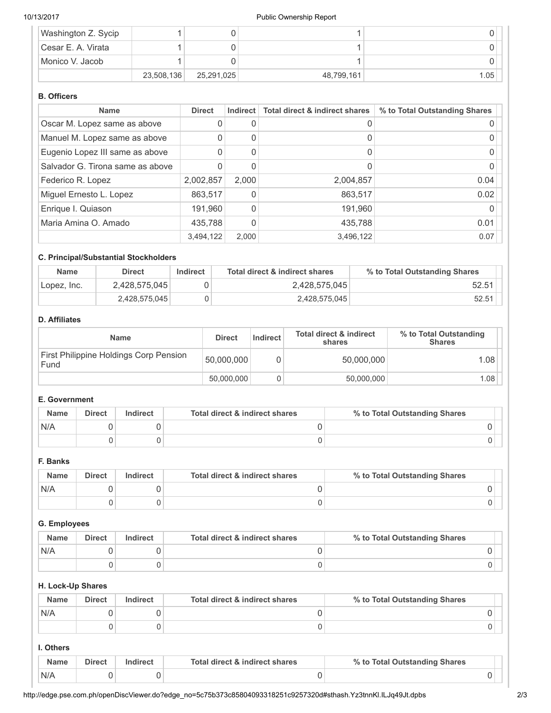| Washington Z. Sycip  |            |            |            |      |
|----------------------|------------|------------|------------|------|
| l Cesar E. A. Virata |            |            |            |      |
| Monico V. Jacob      |            |            |            |      |
|                      | 23,508,136 | 25,291,025 | 48,799,161 | 1.05 |

# B. Officers

| <b>Name</b>                      | <b>Direct</b> | Indirect | Total direct & indirect shares | % to Total Outstanding Shares |
|----------------------------------|---------------|----------|--------------------------------|-------------------------------|
| Oscar M. Lopez same as above     |               | 0        |                                |                               |
| Manuel M. Lopez same as above    |               | 0        |                                |                               |
| Eugenio Lopez III same as above  |               | 0        |                                |                               |
| Salvador G. Tirona same as above |               | 0        |                                |                               |
| Federico R. Lopez                | 2,002,857     | 2.000    | 2,004,857                      | 0.04                          |
| Miguel Ernesto L. Lopez          | 863,517       | 0        | 863,517                        | 0.02                          |
| Enrique I. Quiason               | 191,960       | 0        | 191,960                        |                               |
| Maria Amina O. Amado             | 435,788       | $\Omega$ | 435,788                        | 0.01                          |
|                                  | 3,494,122     | 2.000    | 3,496,122                      | 0.07                          |

# C. Principal/Substantial Stockholders

| <b>Name</b> | <b>Direct</b> | Indirect | Total direct & indirect shares | % to Total Outstanding Shares |  |
|-------------|---------------|----------|--------------------------------|-------------------------------|--|
| Lopez, Inc. | 2,428,575,045 |          | 2,428,575,045                  | 52.51                         |  |
|             | 2,428,575,045 |          | 2,428,575,045                  | 52.51                         |  |

#### D. Affiliates

| <b>Name</b>                                    | <b>Direct</b> | Indirect | <b>Total direct &amp; indirect</b><br>shares | % to Total Outstanding<br><b>Shares</b> |
|------------------------------------------------|---------------|----------|----------------------------------------------|-----------------------------------------|
| First Philippine Holdings Corp Pension<br>Fund | 50,000,000    |          | 50,000,000                                   | 1.08                                    |
|                                                | 50,000,000    |          | 50,000,000                                   | 1.08                                    |

#### E. Government

| <b>Name</b> | <b>Direct</b> | Indirect | Total direct & indirect shares | % to Total Outstanding Shares |
|-------------|---------------|----------|--------------------------------|-------------------------------|
| N/A         |               |          |                                |                               |
|             |               |          |                                |                               |

### F. Banks

| <b>Name</b> | <b>Direct</b> | Indirect | Total direct & indirect shares | % to Total Outstanding Shares |
|-------------|---------------|----------|--------------------------------|-------------------------------|
| N/A         |               |          |                                |                               |
|             |               |          |                                |                               |

#### G. Employees

| <b>Name</b> | <b>Direct</b> | Indirect | Total direct & indirect shares | % to Total Outstanding Shares |
|-------------|---------------|----------|--------------------------------|-------------------------------|
| N/A         |               |          |                                |                               |
|             |               |          |                                |                               |

# H. Lock-Up Shares

| <b>Name</b> | <b>Direct</b> | Indirect | Total direct & indirect shares | % to Total Outstanding Shares |
|-------------|---------------|----------|--------------------------------|-------------------------------|
| N/A         |               |          |                                |                               |
|             |               |          |                                |                               |

# I. Others

| <b>Name</b> | <b>Direct</b> | ndirect | Total direct & indirect shares | % to Total Outstanding Shares |  |
|-------------|---------------|---------|--------------------------------|-------------------------------|--|
| N/A         |               |         |                                |                               |  |